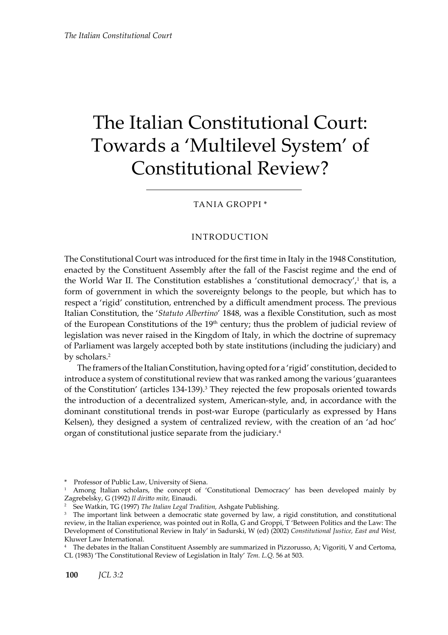# The Italian Constitutional Court: Towards a 'Multilevel System' of Constitutional Review?

Tania Groppi \*

### Introduction

The Constitutional Court was introduced for the first time in Italy in the 1948 Constitution, enacted by the Constituent Assembly after the fall of the Fascist regime and the end of the World War II. The Constitution establishes a 'constitutional democracy',<sup>1</sup> that is, a form of government in which the sovereignty belongs to the people, but which has to respect a 'rigid' constitution, entrenched by a difficult amendment process. The previous Italian Constitution, the '*Statuto Albertino*' 1848, was a flexible Constitution, such as most of the European Constitutions of the  $19<sup>th</sup>$  century; thus the problem of judicial review of legislation was never raised in the Kingdom of Italy, in which the doctrine of supremacy of Parliament was largely accepted both by state institutions (including the judiciary) and by scholars.<sup>2</sup>

The framers of the Italian Constitution, having opted for a 'rigid' constitution, decided to introduce a system of constitutional review that was ranked among the various 'guarantees of the Constitution' (articles  $134-139$ ).<sup>3</sup> They rejected the few proposals oriented towards the introduction of a decentralized system, American-style, and, in accordance with the dominant constitutional trends in post-war Europe (particularly as expressed by Hans Kelsen), they designed a system of centralized review, with the creation of an 'ad hoc' organ of constitutional justice separate from the judiciary.4

<sup>\*</sup> Professor of Public Law, University of Siena. 1 Among Italian scholars, the concept of 'Constitutional Democracy' has been developed mainly by Zagrebelsky, G (1992) *Il diritto mite,* Einaudi.

<sup>2</sup> See Watkin, TG (1997) *The Italian Legal Tradition,* Ashgate Publishing.

<sup>&</sup>lt;sup>3</sup> The important link between a democratic state governed by law, a rigid constitution, and constitutional review, in the Italian experience, was pointed out in Rolla, G and Groppi, T 'Between Politics and the Law: The Development of Constitutional Review in Italy' in Sadurski, W (ed) (2002) *Constitutional Justice, East and West,* Kluwer Law International.

<sup>4</sup> The debates in the Italian Constituent Assembly are summarized in Pizzorusso, A; Vigoriti, V and Certoma, CL (1983) 'The Constitutional Review of Legislation in Italy' *Tem. L.Q*. 56 at 503.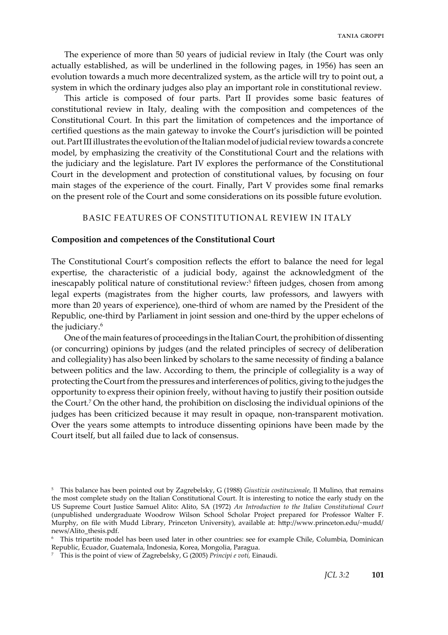The experience of more than 50 years of judicial review in Italy (the Court was only actually established, as will be underlined in the following pages, in 1956) has seen an evolution towards a much more decentralized system, as the article will try to point out, a system in which the ordinary judges also play an important role in constitutional review.

This article is composed of four parts. Part II provides some basic features of constitutional review in Italy, dealing with the composition and competences of the Constitutional Court. In this part the limitation of competences and the importance of certified questions as the main gateway to invoke the Court's jurisdiction will be pointed out. Part III illustrates the evolution of the Italian model of judicial review towards a concrete model, by emphasizing the creativity of the Constitutional Court and the relations with the judiciary and the legislature. Part IV explores the performance of the Constitutional Court in the development and protection of constitutional values, by focusing on four main stages of the experience of the court. Finally, Part V provides some final remarks on the present role of the Court and some considerations on its possible future evolution.

#### basic features of constitutional review in Italy

# **Composition and competences of the Constitutional Court**

The Constitutional Court's composition reflects the effort to balance the need for legal expertise, the characteristic of a judicial body, against the acknowledgment of the inescapably political nature of constitutional review:<sup>5</sup> fifteen judges, chosen from among legal experts (magistrates from the higher courts, law professors, and lawyers with more than 20 years of experience), one-third of whom are named by the President of the Republic, one-third by Parliament in joint session and one-third by the upper echelons of the judiciary.6

One of the main features of proceedings in the Italian Court, the prohibition of dissenting (or concurring) opinions by judges (and the related principles of secrecy of deliberation and collegiality) has also been linked by scholars to the same necessity of finding a balance between politics and the law. According to them, the principle of collegiality is a way of protecting the Court from the pressures and interferences of politics, giving to the judges the opportunity to express their opinion freely, without having to justify their position outside the Court.<sup>7</sup> On the other hand, the prohibition on disclosing the individual opinions of the judges has been criticized because it may result in opaque, non-transparent motivation. Over the years some attempts to introduce dissenting opinions have been made by the Court itself, but all failed due to lack of consensus.

<sup>5</sup> This balance has been pointed out by Zagrebelsky, G (1988) *Giustizia costituzionale,* Il Mulino, that remains the most complete study on the Italian Constitutional Court. It is interesting to notice the early study on the US Supreme Court Justice Samuel Alito: Alito, SA (1972) *An Introduction to the Italian Constitutional Court*  (unpublished undergraduate Woodrow Wilson School Scholar Project prepared for Professor Walter F. Murphy, on file with Mudd Library, Princeton University), available at: http://www.princeton.edu/~mudd/ news/Alito\_thesis.pdf.

<sup>&</sup>lt;sup>6</sup> This tripartite model has been used later in other countries: see for example Chile, Columbia, Dominican Republic, Ecuador, Guatemala, Indonesia, Korea, Mongolia, Paragua.

<sup>7</sup> This is the point of view of Zagrebelsky, G (2005) *Principi e voti,* Einaudi.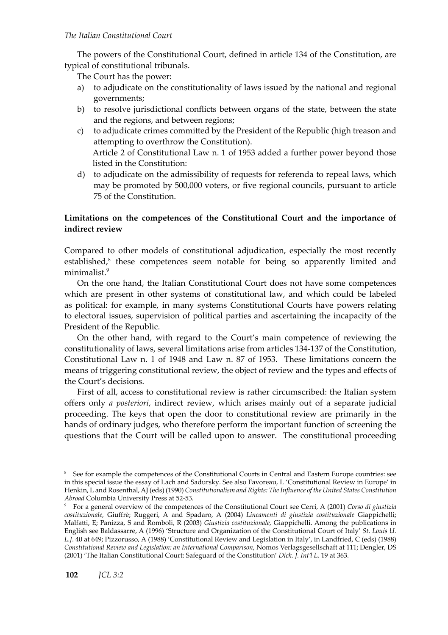The powers of the Constitutional Court, defined in article 134 of the Constitution, are typical of constitutional tribunals.

The Court has the power:

- a) to adjudicate on the constitutionality of laws issued by the national and regional governments;
- b) to resolve jurisdictional conflicts between organs of the state, between the state and the regions, and between regions;
- c) to adjudicate crimes committed by the President of the Republic (high treason and attempting to overthrow the Constitution). Article 2 of Constitutional Law n. 1 of 1953 added a further power beyond those listed in the Constitution:
- d) to adjudicate on the admissibility of requests for referenda to repeal laws, which may be promoted by 500,000 voters, or five regional councils, pursuant to article 75 of the Constitution.

# **Limitations on the competences of the Constitutional Court and the importance of indirect review**

Compared to other models of constitutional adjudication, especially the most recently established, $8$  these competences seem notable for being so apparently limited and minimalist.<sup>9</sup>

On the one hand, the Italian Constitutional Court does not have some competences which are present in other systems of constitutional law, and which could be labeled as political: for example, in many systems Constitutional Courts have powers relating to electoral issues, supervision of political parties and ascertaining the incapacity of the President of the Republic.

On the other hand, with regard to the Court's main competence of reviewing the constitutionality of laws, several limitations arise from articles 134-137 of the Constitution, Constitutional Law n. 1 of 1948 and Law n. 87 of 1953. These limitations concern the means of triggering constitutional review, the object of review and the types and effects of the Court's decisions.

First of all, access to constitutional review is rather circumscribed: the Italian system offers only *a posteriori*, indirect review, which arises mainly out of a separate judicial proceeding. The keys that open the door to constitutional review are primarily in the hands of ordinary judges, who therefore perform the important function of screening the questions that the Court will be called upon to answer. The constitutional proceeding

<sup>&</sup>lt;sup>8</sup> See for example the competences of the Constitutional Courts in Central and Eastern Europe countries: see in this special issue the essay of Lach and Sadursky. See also Favoreau, L 'Constitutional Review in Europe' in Henkin, L and Rosenthal, AJ (eds) (1990) *Constitutionalism and Rights: The Influence of the United States Constitution Abroad* Columbia University Press at 52-53.

<sup>9</sup> For a general overview of the competences of the Constitutional Court see Cerri, A (2001) *Corso di giustizia costituzionale,* Giuffrè; Ruggeri, A and Spadaro, A (2004) *Lineamenti di giustizia costituzionale* Giappichelli; Malfatti, E; Panizza, S and Romboli, R (2003) *Giustizia costituzionale,* Giappichelli. Among the publications in English see Baldassarre, A (1996) 'Structure and Organization of the Constitutional Court of Italy' *St. Louis U. L.J*. 40 at 649; Pizzorusso, A (1988) 'Constitutional Review and Legislation in Italy', in Landfried, C (eds) (1988) *Constitutional Review and Legislation: an International Comparison*, Nomos Verlagsgesellschaft at 111; Dengler, DS (2001) 'The Italian Constitutional Court: Safeguard of the Constitution' *Dick. J. Int'l L.* 19 at 363.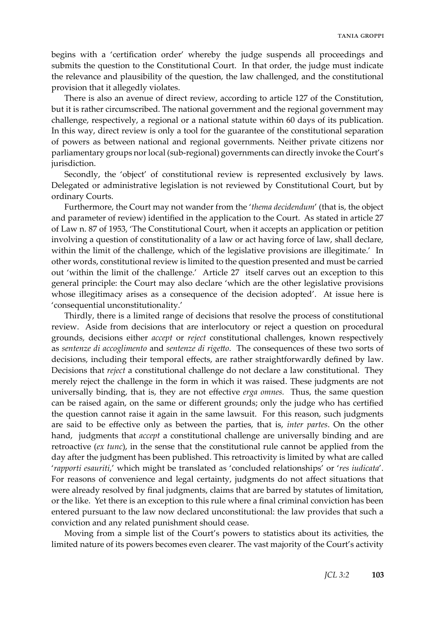begins with a 'certification order' whereby the judge suspends all proceedings and submits the question to the Constitutional Court. In that order, the judge must indicate the relevance and plausibility of the question, the law challenged, and the constitutional provision that it allegedly violates.

There is also an avenue of direct review, according to article 127 of the Constitution, but it is rather circumscribed. The national government and the regional government may challenge, respectively, a regional or a national statute within 60 days of its publication. In this way, direct review is only a tool for the guarantee of the constitutional separation of powers as between national and regional governments. Neither private citizens nor parliamentary groups nor local (sub-regional) governments can directly invoke the Court's jurisdiction.

Secondly, the 'object' of constitutional review is represented exclusively by laws. Delegated or administrative legislation is not reviewed by Constitutional Court, but by ordinary Courts.

Furthermore, the Court may not wander from the '*thema decidendum*' (that is, the object and parameter of review) identified in the application to the Court. As stated in article 27 of Law n. 87 of 1953, 'The Constitutional Court, when it accepts an application or petition involving a question of constitutionality of a law or act having force of law, shall declare, within the limit of the challenge, which of the legislative provisions are illegitimate.' In other words, constitutional review is limited to the question presented and must be carried out 'within the limit of the challenge.' Article 27 itself carves out an exception to this general principle: the Court may also declare 'which are the other legislative provisions whose illegitimacy arises as a consequence of the decision adopted'. At issue here is 'consequential unconstitutionality.'

Thirdly, there is a limited range of decisions that resolve the process of constitutional review. Aside from decisions that are interlocutory or reject a question on procedural grounds, decisions either *accept* or *reject* constitutional challenges, known respectively as *sentenze di accoglimento* and *sentenze di rigetto*. The consequences of these two sorts of decisions, including their temporal effects, are rather straightforwardly defined by law. Decisions that *reject* a constitutional challenge do not declare a law constitutional. They merely reject the challenge in the form in which it was raised. These judgments are not universally binding, that is, they are not effective *erga omnes.* Thus, the same question can be raised again, on the same or different grounds; only the judge who has certified the question cannot raise it again in the same lawsuit. For this reason, such judgments are said to be effective only as between the parties, that is, *inter partes*. On the other hand, judgments that *accept* a constitutional challenge are universally binding and are retroactive (*ex tunc*), in the sense that the constitutional rule cannot be applied from the day after the judgment has been published. This retroactivity is limited by what are called '*rapporti esauriti*,' which might be translated as 'concluded relationships' or '*res iudicata*'. For reasons of convenience and legal certainty, judgments do not affect situations that were already resolved by final judgments, claims that are barred by statutes of limitation, or the like. Yet there is an exception to this rule where a final criminal conviction has been entered pursuant to the law now declared unconstitutional: the law provides that such a conviction and any related punishment should cease.

Moving from a simple list of the Court's powers to statistics about its activities, the limited nature of its powers becomes even clearer. The vast majority of the Court's activity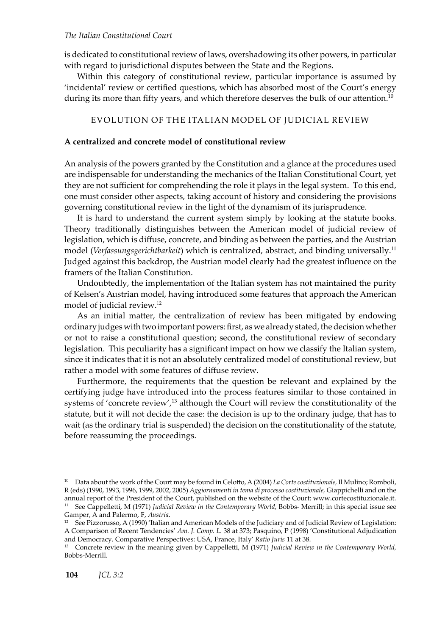# *The Italian Constitutional Court*

is dedicated to constitutional review of laws, overshadowing its other powers, in particular with regard to jurisdictional disputes between the State and the Regions.

Within this category of constitutional review, particular importance is assumed by 'incidental' review or certified questions, which has absorbed most of the Court's energy during its more than fifty years, and which therefore deserves the bulk of our attention.<sup>10</sup>

# Evolution of the Italian model of judicial review

# **A centralized and concrete model of constitutional review**

An analysis of the powers granted by the Constitution and a glance at the procedures used are indispensable for understanding the mechanics of the Italian Constitutional Court, yet they are not sufficient for comprehending the role it plays in the legal system. To this end, one must consider other aspects, taking account of history and considering the provisions governing constitutional review in the light of the dynamism of its jurisprudence.

It is hard to understand the current system simply by looking at the statute books. Theory traditionally distinguishes between the American model of judicial review of legislation, which is diffuse, concrete, and binding as between the parties, and the Austrian model (*Verfassungsgerichtbarkeit*) which is centralized, abstract, and binding universally.<sup>11</sup> Judged against this backdrop, the Austrian model clearly had the greatest influence on the framers of the Italian Constitution.

Undoubtedly, the implementation of the Italian system has not maintained the purity of Kelsen's Austrian model, having introduced some features that approach the American model of judicial review.<sup>12</sup>

As an initial matter, the centralization of review has been mitigated by endowing ordinary judges with two important powers: first, as we already stated, the decision whether or not to raise a constitutional question; second, the constitutional review of secondary legislation. This peculiarity has a significant impact on how we classify the Italian system, since it indicates that it is not an absolutely centralized model of constitutional review, but rather a model with some features of diffuse review.

Furthermore, the requirements that the question be relevant and explained by the certifying judge have introduced into the process features similar to those contained in systems of 'concrete review',<sup>13</sup> although the Court will review the constitutionality of the statute, but it will not decide the case: the decision is up to the ordinary judge, that has to wait (as the ordinary trial is suspended) the decision on the constitutionality of the statute, before reassuming the proceedings.

<sup>10</sup> Data about the work of the Court may be found in Celotto, A (2004) *La Corte costituzionale,* Il Mulino; Romboli, R (eds) (1990, 1993, 1996, 1999, 2002, 2005) *Aggiornamenti in tema di processo costituzionale,* Giappichelli and on the annual report of the President of the Court, published on the website of the Court: www.cortecostituzionale.it. <sup>11</sup> See Cappelletti, M (1971) *Judicial Review in the Contemporary World*, Bobbs- Merrill; in this special issue see Gamper, A and Palermo, F, *Austria*.

 $12$  See Pizzorusso, A (1990) 'Italian and American Models of the Judiciary and of Judicial Review of Legislation: A Comparison of Recent Tendencies' *Am. J. Comp. L.* 38 at 373; Pasquino, P (1998) 'Constitutional Adjudication and Democracy. Comparative Perspectives: USA, France, Italy' *Ratio Juris* 11 at 38.

<sup>13</sup> Concrete review in the meaning given by Cappelletti, M (1971) *Judicial Review in the Contemporary World,* Bobbs-Merrill.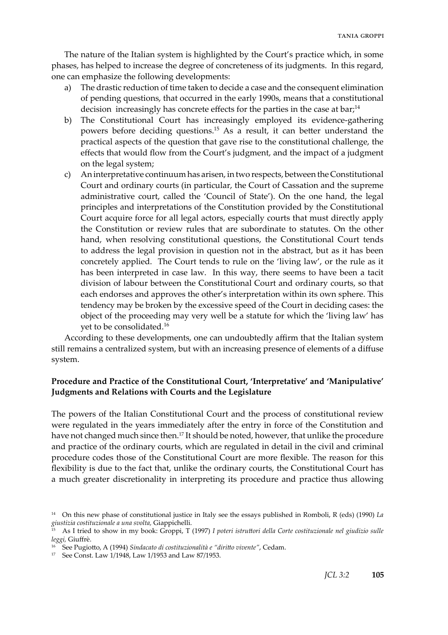The nature of the Italian system is highlighted by the Court's practice which, in some phases, has helped to increase the degree of concreteness of its judgments. In this regard, one can emphasize the following developments:

- a) The drastic reduction of time taken to decide a case and the consequent elimination of pending questions, that occurred in the early 1990s, means that a constitutional decision increasingly has concrete effects for the parties in the case at bar;<sup>14</sup>
- b) The Constitutional Court has increasingly employed its evidence-gathering powers before deciding questions.15 As a result, it can better understand the practical aspects of the question that gave rise to the constitutional challenge, the effects that would flow from the Court's judgment, and the impact of a judgment on the legal system;
- c) An interpretative continuum has arisen, in two respects, between the Constitutional Court and ordinary courts (in particular, the Court of Cassation and the supreme administrative court, called the 'Council of State'). On the one hand, the legal principles and interpretations of the Constitution provided by the Constitutional Court acquire force for all legal actors, especially courts that must directly apply the Constitution or review rules that are subordinate to statutes. On the other hand, when resolving constitutional questions, the Constitutional Court tends to address the legal provision in question not in the abstract, but as it has been concretely applied. The Court tends to rule on the 'living law', or the rule as it has been interpreted in case law. In this way, there seems to have been a tacit division of labour between the Constitutional Court and ordinary courts, so that each endorses and approves the other's interpretation within its own sphere. This tendency may be broken by the excessive speed of the Court in deciding cases: the object of the proceeding may very well be a statute for which the 'living law' has yet to be consolidated.16

According to these developments, one can undoubtedly affirm that the Italian system still remains a centralized system, but with an increasing presence of elements of a diffuse system.

# **Procedure and Practice of the Constitutional Court, 'Interpretative' and 'Manipulative' Judgments and Relations with Courts and the Legislature**

The powers of the Italian Constitutional Court and the process of constitutional review were regulated in the years immediately after the entry in force of the Constitution and have not changed much since then.<sup>17</sup> It should be noted, however, that unlike the procedure and practice of the ordinary courts, which are regulated in detail in the civil and criminal procedure codes those of the Constitutional Court are more flexible. The reason for this flexibility is due to the fact that, unlike the ordinary courts, the Constitutional Court has a much greater discretionality in interpreting its procedure and practice thus allowing

<sup>14</sup> On this new phase of constitutional justice in Italy see the essays published in Romboli, R (eds) (1990) *La giustizia costituzionale a una svolta,* Giappichelli.

<sup>15</sup> As I tried to show in my book: Groppi, T (1997) *I poteri istruttori della Corte costituzionale nel giudizio sulle leggi,* Giuffrè.

<sup>16</sup> See Pugiotto, A (1994) *Sindacato di costituzionalità e "diritto vivente"*, Cedam.

<sup>17</sup> See Const. Law 1/1948, Law 1/1953 and Law 87/1953.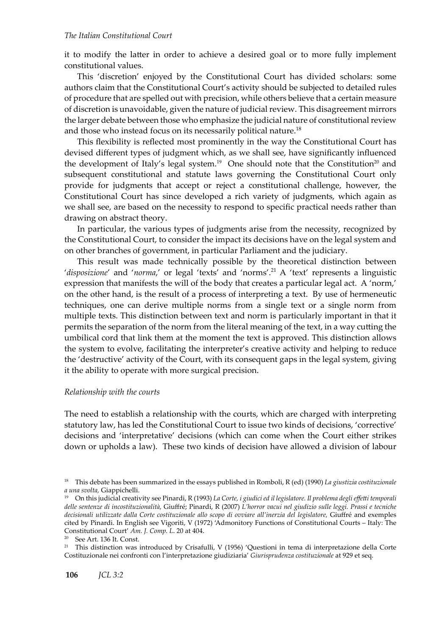# *The Italian Constitutional Court*

it to modify the latter in order to achieve a desired goal or to more fully implement constitutional values.

This 'discretion' enjoyed by the Constitutional Court has divided scholars: some authors claim that the Constitutional Court's activity should be subjected to detailed rules of procedure that are spelled out with precision, while others believe that a certain measure of discretion is unavoidable, given the nature of judicial review. This disagreement mirrors the larger debate between those who emphasize the judicial nature of constitutional review and those who instead focus on its necessarily political nature.18

This flexibility is reflected most prominently in the way the Constitutional Court has devised different types of judgment which, as we shall see, have significantly influenced the development of Italy's legal system.<sup>19</sup> One should note that the Constitution<sup>20</sup> and subsequent constitutional and statute laws governing the Constitutional Court only provide for judgments that accept or reject a constitutional challenge, however, the Constitutional Court has since developed a rich variety of judgments, which again as we shall see, are based on the necessity to respond to specific practical needs rather than drawing on abstract theory.

In particular, the various types of judgments arise from the necessity, recognized by the Constitutional Court, to consider the impact its decisions have on the legal system and on other branches of government, in particular Parliament and the judiciary.

This result was made technically possible by the theoretical distinction between 'disposizione' and 'norma,' or legal 'texts' and 'norms'.<sup>21</sup> A 'text' represents a linguistic expression that manifests the will of the body that creates a particular legal act. A 'norm,' on the other hand, is the result of a process of interpreting a text. By use of hermeneutic techniques, one can derive multiple norms from a single text or a single norm from multiple texts. This distinction between text and norm is particularly important in that it permits the separation of the norm from the literal meaning of the text, in a way cutting the umbilical cord that link them at the moment the text is approved. This distinction allows the system to evolve, facilitating the interpreter's creative activity and helping to reduce the 'destructive' activity of the Court, with its consequent gaps in the legal system, giving it the ability to operate with more surgical precision.

#### *Relationship with the courts*

The need to establish a relationship with the courts, which are charged with interpreting statutory law, has led the Constitutional Court to issue two kinds of decisions, 'corrective' decisions and 'interpretative' decisions (which can come when the Court either strikes down or upholds a law). These two kinds of decision have allowed a division of labour

<sup>21</sup> This distinction was introduced by Crisafulli, V (1956) 'Questioni in tema di interpretazione della Corte Costituzionale nei confronti con l'interpretazione giudiziaria' *Giurisprudenza costituzionale* at 929 et seq.

<sup>18</sup> This debate has been summarized in the essays published in Romboli, R (ed) (1990) *La giustizia costituzionale a una svolta,* Giappichelli.

<sup>19</sup> On this judicial creativity see Pinardi, R (1993) *La Corte, i giudici ed il legislatore. Il problema degli effetti temporali delle sentenze di incostituzionalità,* Giuffré; Pinardi, R (2007) *L'horror vacui nel giudizio sulle leggi. Prassi e tecniche decisionali utilizzate dalla Corte costituzionale allo scopo di ovviare all'inerzia del legislatore,* Giuffré and exemples cited by Pinardi. In English see Vigoriti, V (1972) 'Admonitory Functions of Constitutional Courts – Italy: The Constitutional Court' *Am. J. Comp. L*. 20 at 404.

See Art. 136 It. Const.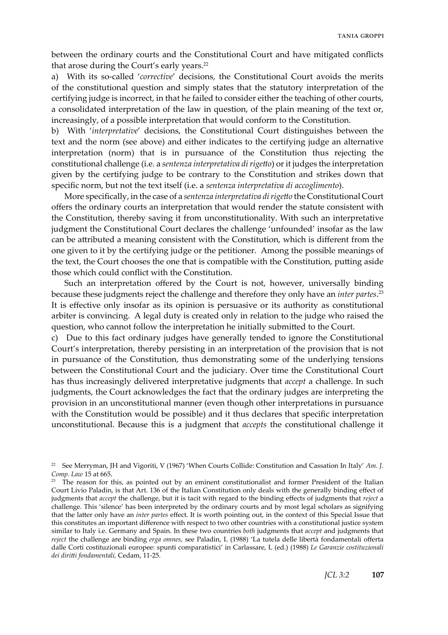between the ordinary courts and the Constitutional Court and have mitigated conflicts that arose during the Court's early years.<sup>22</sup>

a) With its so-called '*corrective*' decisions, the Constitutional Court avoids the merits of the constitutional question and simply states that the statutory interpretation of the certifying judge is incorrect, in that he failed to consider either the teaching of other courts, a consolidated interpretation of the law in question, of the plain meaning of the text or, increasingly, of a possible interpretation that would conform to the Constitution.

b) With '*interpretative*' decisions, the Constitutional Court distinguishes between the text and the norm (see above) and either indicates to the certifying judge an alternative interpretation (norm) that is in pursuance of the Constitution thus rejecting the constitutional challenge (i.e. a *sentenza interpretativa di rigetto*) or it judges the interpretation given by the certifying judge to be contrary to the Constitution and strikes down that specific norm, but not the text itself (i.e. a *sentenza interpretativa di accoglimento*).

More specifically, in the case of a *sentenza interpretativa di rigetto* the Constitutional Court offers the ordinary courts an interpretation that would render the statute consistent with the Constitution, thereby saving it from unconstitutionality. With such an interpretative judgment the Constitutional Court declares the challenge 'unfounded' insofar as the law can be attributed a meaning consistent with the Constitution, which is different from the one given to it by the certifying judge or the petitioner. Among the possible meanings of the text, the Court chooses the one that is compatible with the Constitution, putting aside those which could conflict with the Constitution.

Such an interpretation offered by the Court is not, however, universally binding because these judgments reject the challenge and therefore they only have an *inter partes*. 23 It is effective only insofar as its opinion is persuasive or its authority as constitutional arbiter is convincing. A legal duty is created only in relation to the judge who raised the question, who cannot follow the interpretation he initially submitted to the Court.

c) Due to this fact ordinary judges have generally tended to ignore the Constitutional Court's interpretation, thereby persisting in an interpretation of the provision that is not in pursuance of the Constitution, thus demonstrating some of the underlying tensions between the Constitutional Court and the judiciary. Over time the Constitutional Court has thus increasingly delivered interpretative judgments that *accept* a challenge. In such judgments, the Court acknowledges the fact that the ordinary judges are interpreting the provision in an unconstitutional manner (even though other interpretations in pursuance with the Constitution would be possible) and it thus declares that specific interpretation unconstitutional. Because this is a judgment that *accepts* the constitutional challenge it

<sup>22</sup> See Merryman, JH and Vigoriti, V (1967) 'When Courts Collide: Constitution and Cassation In Italy' *Am. J. Comp. Law* 15 at 665.

<sup>&</sup>lt;sup>23</sup> The reason for this, as pointed out by an eminent constitutionalist and former President of the Italian Court Livio Paladin, is that Art. 136 of the Italian Constitution only deals with the generally binding effect of judgments that *accept* the challenge, but it is tacit with regard to the binding effects of judgments that *reject* a challenge. This 'silence' has been interpreted by the ordinary courts and by most legal scholars as signifying that the latter only have an *inter partes* effect. It is worth pointing out, in the context of this Special Issue that this constitutes an important difference with respect to two other countries with a constitutional justice system similar to Italy i.e. Germany and Spain. In these two countries *both* judgments that *accept* and judgments that *reject* the challenge are binding *erga omnes*, see Paladin, L (1988) 'La tutela delle libertà fondamentali offerta dalle Corti costituzionali europee: spunti comparatistici' in Carlassare, L (ed.) (1988) *Le Garanzie costituzionali dei diritti fondamentali,* Cedam, 11-25.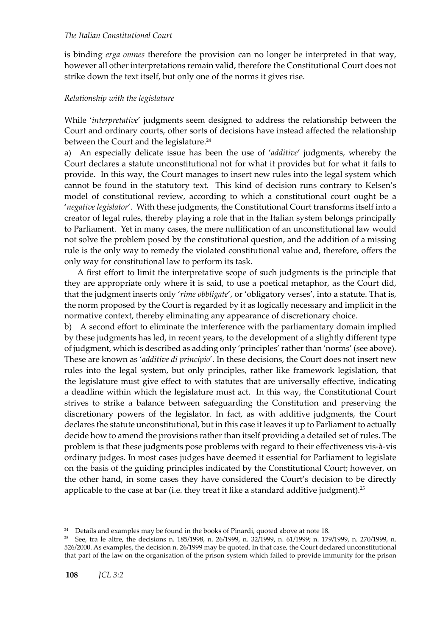is binding *erga omnes* therefore the provision can no longer be interpreted in that way, however all other interpretations remain valid, therefore the Constitutional Court does not strike down the text itself, but only one of the norms it gives rise.

# *Relationship with the legislature*

While '*interpretative*' judgments seem designed to address the relationship between the Court and ordinary courts, other sorts of decisions have instead affected the relationship between the Court and the legislature.<sup>24</sup>

a) An especially delicate issue has been the use of '*additive*' judgments, whereby the Court declares a statute unconstitutional not for what it provides but for what it fails to provide. In this way, the Court manages to insert new rules into the legal system which cannot be found in the statutory text. This kind of decision runs contrary to Kelsen's model of constitutional review, according to which a constitutional court ought be a '*negative legislator*'. With these judgments, the Constitutional Court transforms itself into a creator of legal rules, thereby playing a role that in the Italian system belongs principally to Parliament. Yet in many cases, the mere nullification of an unconstitutional law would not solve the problem posed by the constitutional question, and the addition of a missing rule is the only way to remedy the violated constitutional value and, therefore, offers the only way for constitutional law to perform its task.

A first effort to limit the interpretative scope of such judgments is the principle that they are appropriate only where it is said, to use a poetical metaphor, as the Court did, that the judgment inserts only '*rime obbligate*', or 'obligatory verses', into a statute. That is, the norm proposed by the Court is regarded by it as logically necessary and implicit in the normative context, thereby eliminating any appearance of discretionary choice.

b) A second effort to eliminate the interference with the parliamentary domain implied by these judgments has led, in recent years, to the development of a slightly different type of judgment, which is described as adding only 'principles' rather than 'norms' (see above). These are known as '*additive di principio*'. In these decisions, the Court does not insert new rules into the legal system, but only principles, rather like framework legislation, that the legislature must give effect to with statutes that are universally effective, indicating a deadline within which the legislature must act. In this way, the Constitutional Court strives to strike a balance between safeguarding the Constitution and preserving the discretionary powers of the legislator. In fact, as with additive judgments, the Court declares the statute unconstitutional, but in this case it leaves it up to Parliament to actually decide how to amend the provisions rather than itself providing a detailed set of rules. The problem is that these judgments pose problems with regard to their effectiveness vis-à-vis ordinary judges. In most cases judges have deemed it essential for Parliament to legislate on the basis of the guiding principles indicated by the Constitutional Court; however, on the other hand, in some cases they have considered the Court's decision to be directly applicable to the case at bar (i.e. they treat it like a standard additive judgment).<sup>25</sup>

<sup>&</sup>lt;sup>24</sup> Details and examples may be found in the books of Pinardi, quoted above at note 18.

<sup>&</sup>lt;sup>25</sup> See, tra le altre, the decisions n. 185/1998, n. 26/1999, n. 32/1999, n. 61/1999; n. 179/1999, n. 270/1999, n. 526/2000. As examples, the decision n. 26/1999 may be quoted. In that case, the Court declared unconstitutional that part of the law on the organisation of the prison system which failed to provide immunity for the prison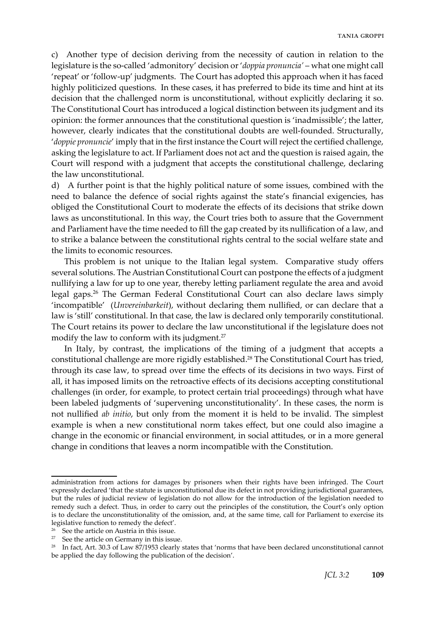c) Another type of decision deriving from the necessity of caution in relation to the legislature is the so-called 'admonitory' decision or '*doppia pronuncia'* – what one might call 'repeat' or 'follow-up' judgments. The Court has adopted this approach when it has faced highly politicized questions. In these cases, it has preferred to bide its time and hint at its decision that the challenged norm is unconstitutional, without explicitly declaring it so. The Constitutional Court has introduced a logical distinction between its judgment and its opinion: the former announces that the constitutional question is 'inadmissible'; the latter, however, clearly indicates that the constitutional doubts are well-founded. Structurally, '*doppie pronuncie*' imply that in the first instance the Court will reject the certified challenge, asking the legislature to act. If Parliament does not act and the question is raised again, the Court will respond with a judgment that accepts the constitutional challenge, declaring the law unconstitutional.

d) A further point is that the highly political nature of some issues, combined with the need to balance the defence of social rights against the state's financial exigencies, has obliged the Constitutional Court to moderate the effects of its decisions that strike down laws as unconstitutional. In this way, the Court tries both to assure that the Government and Parliament have the time needed to fill the gap created by its nullification of a law, and to strike a balance between the constitutional rights central to the social welfare state and the limits to economic resources.

This problem is not unique to the Italian legal system. Comparative study offers several solutions. The Austrian Constitutional Court can postpone the effects of a judgment nullifying a law for up to one year, thereby letting parliament regulate the area and avoid legal gaps.26 The German Federal Constitutional Court can also declare laws simply 'incompatible' (*Unvereinbarkeit*), without declaring them nullified, or can declare that a law is 'still' constitutional. In that case, the law is declared only temporarily constitutional. The Court retains its power to declare the law unconstitutional if the legislature does not modify the law to conform with its judgment.<sup>27</sup>

In Italy, by contrast, the implications of the timing of a judgment that accepts a constitutional challenge are more rigidly established.<sup>28</sup> The Constitutional Court has tried, through its case law, to spread over time the effects of its decisions in two ways. First of all, it has imposed limits on the retroactive effects of its decisions accepting constitutional challenges (in order, for example, to protect certain trial proceedings) through what have been labeled judgments of 'supervening unconstitutionality'. In these cases, the norm is not nullified *ab initio*, but only from the moment it is held to be invalid. The simplest example is when a new constitutional norm takes effect, but one could also imagine a change in the economic or financial environment, in social attitudes, or in a more general change in conditions that leaves a norm incompatible with the Constitution.

administration from actions for damages by prisoners when their rights have been infringed. The Court expressly declared 'that the statute is unconstitutional due its defect in not providing jurisdictional guarantees, but the rules of judicial review of legislation do not allow for the introduction of the legislation needed to remedy such a defect. Thus, in order to carry out the principles of the constitution, the Court's only option is to declare the unconstitutionality of the omission, and, at the same time, call for Parliament to exercise its legislative function to remedy the defect'.

See the article on Austria in this issue.

 $27$  See the article on Germany in this issue.

<sup>&</sup>lt;sup>28</sup> In fact, Art. 30.3 of Law 87/1953 clearly states that 'norms that have been declared unconstitutional cannot be applied the day following the publication of the decision'.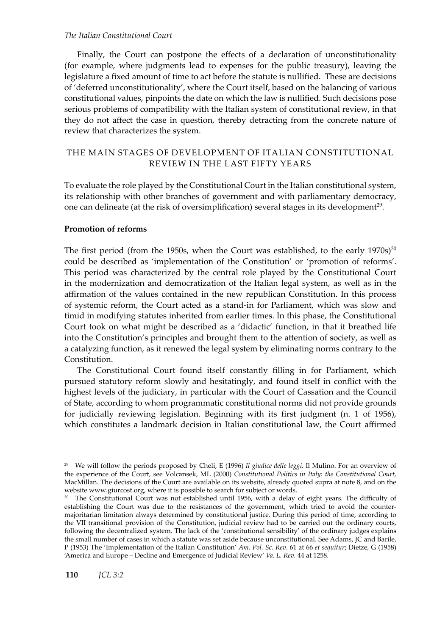# *The Italian Constitutional Court*

Finally, the Court can postpone the effects of a declaration of unconstitutionality (for example, where judgments lead to expenses for the public treasury), leaving the legislature a fixed amount of time to act before the statute is nullified. These are decisions of 'deferred unconstitutionality', where the Court itself, based on the balancing of various constitutional values, pinpoints the date on which the law is nullified. Such decisions pose serious problems of compatibility with the Italian system of constitutional review, in that they do not affect the case in question, thereby detracting from the concrete nature of review that characterizes the system.

# The main stages of development of Italian constitutional review in the last fifty years

To evaluate the role played by the Constitutional Court in the Italian constitutional system, its relationship with other branches of government and with parliamentary democracy, one can delineate (at the risk of oversimplification) several stages in its development<sup>29</sup>.

# **Promotion of reforms**

The first period (from the 1950s, when the Court was established, to the early  $1970s$ )<sup>30</sup> could be described as 'implementation of the Constitution' or 'promotion of reforms'. This period was characterized by the central role played by the Constitutional Court in the modernization and democratization of the Italian legal system, as well as in the affirmation of the values contained in the new republican Constitution. In this process of systemic reform, the Court acted as a stand-in for Parliament, which was slow and timid in modifying statutes inherited from earlier times. In this phase, the Constitutional Court took on what might be described as a 'didactic' function, in that it breathed life into the Constitution's principles and brought them to the attention of society, as well as a catalyzing function, as it renewed the legal system by eliminating norms contrary to the Constitution.

The Constitutional Court found itself constantly filling in for Parliament, which pursued statutory reform slowly and hesitatingly, and found itself in conflict with the highest levels of the judiciary, in particular with the Court of Cassation and the Council of State, according to whom programmatic constitutional norms did not provide grounds for judicially reviewing legislation. Beginning with its first judgment (n. 1 of 1956), which constitutes a landmark decision in Italian constitutional law, the Court affirmed

<sup>29</sup> We will follow the periods proposed by Cheli, E (1996) *Il giudice delle leggi,* Il Mulino. For an overview of the experience of the Court, see Volcansek, ML (2000) *Constitutional Politics in Italy: the Constitutional Court,* MacMillan. The decisions of the Court are available on its website, already quoted supra at note 8, and on the website www.giurcost.org, where it is possible to search for subject or words.

<sup>&</sup>lt;sup>30</sup> The Constitutional Court was not established until 1956, with a delay of eight years. The difficulty of establishing the Court was due to the resistances of the government, which tried to avoid the countermajoritarian limitation always determined by constitutional justice. During this period of time, according to the VII transitional provision of the Constitution, judicial review had to be carried out the ordinary courts, following the decentralized system. The lack of the 'constitutional sensibility' of the ordinary judges explains the small number of cases in which a statute was set aside because unconstitutional. See Adams, JC and Barile, P (1953) The 'Implementation of the Italian Constitution' *Am. Pol. Sc. Rev*. 61 at 66 *et sequitur*; Dietze, G (1958) 'America and Europe – Decline and Emergence of Judicial Review' *Va. L. Rev.* 44 at 1258.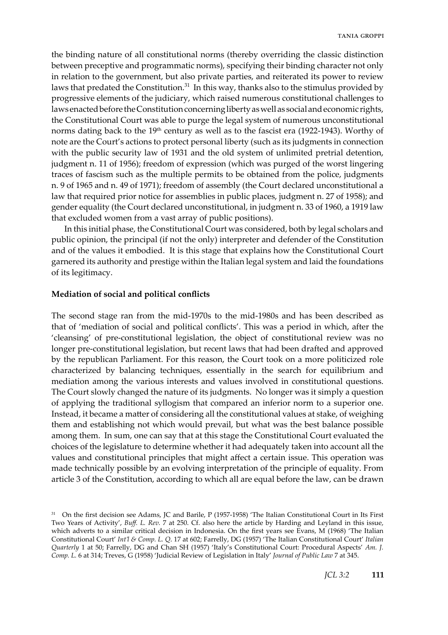the binding nature of all constitutional norms (thereby overriding the classic distinction between preceptive and programmatic norms), specifying their binding character not only in relation to the government, but also private parties, and reiterated its power to review laws that predated the Constitution.<sup>31</sup> In this way, thanks also to the stimulus provided by progressive elements of the judiciary, which raised numerous constitutional challenges to laws enacted before the Constitution concerning liberty as well as social and economic rights, the Constitutional Court was able to purge the legal system of numerous unconstitutional norms dating back to the  $19<sup>th</sup>$  century as well as to the fascist era (1922-1943). Worthy of note are the Court's actions to protect personal liberty (such as its judgments in connection with the public security law of 1931 and the old system of unlimited pretrial detention, judgment n. 11 of 1956); freedom of expression (which was purged of the worst lingering traces of fascism such as the multiple permits to be obtained from the police, judgments n. 9 of 1965 and n. 49 of 1971); freedom of assembly (the Court declared unconstitutional a law that required prior notice for assemblies in public places, judgment n. 27 of 1958); and gender equality (the Court declared unconstitutional, in judgment n. 33 of 1960, a 1919 law that excluded women from a vast array of public positions).

In this initial phase, the Constitutional Court was considered, both by legal scholars and public opinion, the principal (if not the only) interpreter and defender of the Constitution and of the values it embodied. It is this stage that explains how the Constitutional Court garnered its authority and prestige within the Italian legal system and laid the foundations of its legitimacy.

#### **Mediation of social and political conflicts**

The second stage ran from the mid-1970s to the mid-1980s and has been described as that of 'mediation of social and political conflicts'. This was a period in which, after the 'cleansing' of pre-constitutional legislation, the object of constitutional review was no longer pre-constitutional legislation, but recent laws that had been drafted and approved by the republican Parliament. For this reason, the Court took on a more politicized role characterized by balancing techniques, essentially in the search for equilibrium and mediation among the various interests and values involved in constitutional questions. The Court slowly changed the nature of its judgments. No longer was it simply a question of applying the traditional syllogism that compared an inferior norm to a superior one. Instead, it became a matter of considering all the constitutional values at stake, of weighing them and establishing not which would prevail, but what was the best balance possible among them. In sum, one can say that at this stage the Constitutional Court evaluated the choices of the legislature to determine whether it had adequately taken into account all the values and constitutional principles that might affect a certain issue. This operation was made technically possible by an evolving interpretation of the principle of equality. From article 3 of the Constitution, according to which all are equal before the law, can be drawn

<sup>&</sup>lt;sup>31</sup> On the first decision see Adams, JC and Barile, P (1957-1958) 'The Italian Constitutional Court in Its First Two Years of Activity', *Buff. L. Rev.* 7 at 250. Cf. also here the article by Harding and Leyland in this issue, which adverts to a similar critical decision in Indonesia. On the first years see Evans, M (1968) 'The Italian Constitutional Court' *Int'l & Comp. L. Q*. 17 at 602; Farrelly, DG (1957) 'The Italian Constitutional Court' *Italian Quarterly* 1 at 50; Farrelly, DG and Chan SH (1957) 'Italy's Constitutional Court: Procedural Aspects' *Am. J. Comp. L.* 6 at 314; Treves, G (1958) 'Judicial Review of Legislation in Italy' *Journal of Public Law* 7 at 345.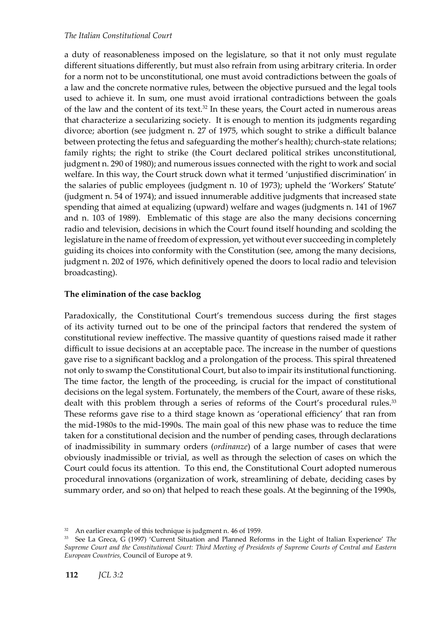a duty of reasonableness imposed on the legislature, so that it not only must regulate different situations differently, but must also refrain from using arbitrary criteria. In order for a norm not to be unconstitutional, one must avoid contradictions between the goals of a law and the concrete normative rules, between the objective pursued and the legal tools used to achieve it. In sum, one must avoid irrational contradictions between the goals of the law and the content of its text.<sup>32</sup> In these years, the Court acted in numerous areas that characterize a secularizing society. It is enough to mention its judgments regarding divorce; abortion (see judgment n. 27 of 1975, which sought to strike a difficult balance between protecting the fetus and safeguarding the mother's health); church-state relations; family rights; the right to strike (the Court declared political strikes unconstitutional, judgment n. 290 of 1980); and numerous issues connected with the right to work and social welfare. In this way, the Court struck down what it termed 'unjustified discrimination' in the salaries of public employees (judgment n. 10 of 1973); upheld the 'Workers' Statute' (judgment n. 54 of 1974); and issued innumerable additive judgments that increased state spending that aimed at equalizing (upward) welfare and wages (judgments n. 141 of 1967 and n. 103 of 1989). Emblematic of this stage are also the many decisions concerning radio and television, decisions in which the Court found itself hounding and scolding the legislature in the name of freedom of expression, yet without ever succeeding in completely guiding its choices into conformity with the Constitution (see, among the many decisions, judgment n. 202 of 1976, which definitively opened the doors to local radio and television broadcasting).

# **The elimination of the case backlog**

Paradoxically, the Constitutional Court's tremendous success during the first stages of its activity turned out to be one of the principal factors that rendered the system of constitutional review ineffective. The massive quantity of questions raised made it rather difficult to issue decisions at an acceptable pace. The increase in the number of questions gave rise to a significant backlog and a prolongation of the process. This spiral threatened not only to swamp the Constitutional Court, but also to impair its institutional functioning. The time factor, the length of the proceeding, is crucial for the impact of constitutional decisions on the legal system. Fortunately, the members of the Court, aware of these risks, dealt with this problem through a series of reforms of the Court's procedural rules.<sup>33</sup> These reforms gave rise to a third stage known as 'operational efficiency' that ran from the mid-1980s to the mid-1990s. The main goal of this new phase was to reduce the time taken for a constitutional decision and the number of pending cases, through declarations of inadmissibility in summary orders (*ordinanze*) of a large number of cases that were obviously inadmissible or trivial, as well as through the selection of cases on which the Court could focus its attention. To this end, the Constitutional Court adopted numerous procedural innovations (organization of work, streamlining of debate, deciding cases by summary order, and so on) that helped to reach these goals. At the beginning of the 1990s,

 $32$  An earlier example of this technique is judgment n. 46 of 1959.

<sup>33</sup> See La Greca, G (1997) 'Current Situation and Planned Reforms in the Light of Italian Experience' *The Supreme Court and the Constitutional Court: Third Meeting of Presidents of Supreme Courts of Central and Eastern European Countries,* Council of Europe at 9.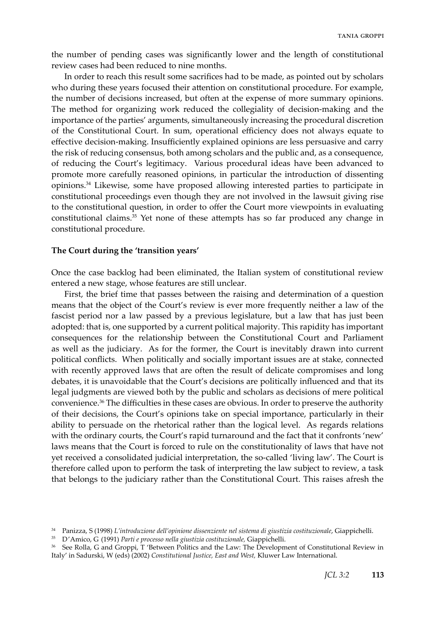the number of pending cases was significantly lower and the length of constitutional review cases had been reduced to nine months.

In order to reach this result some sacrifices had to be made, as pointed out by scholars who during these years focused their attention on constitutional procedure. For example, the number of decisions increased, but often at the expense of more summary opinions. The method for organizing work reduced the collegiality of decision-making and the importance of the parties' arguments, simultaneously increasing the procedural discretion of the Constitutional Court. In sum, operational efficiency does not always equate to effective decision-making. Insufficiently explained opinions are less persuasive and carry the risk of reducing consensus, both among scholars and the public and, as a consequence, of reducing the Court's legitimacy. Various procedural ideas have been advanced to promote more carefully reasoned opinions, in particular the introduction of dissenting opinions.34 Likewise, some have proposed allowing interested parties to participate in constitutional proceedings even though they are not involved in the lawsuit giving rise to the constitutional question, in order to offer the Court more viewpoints in evaluating constitutional claims.35 Yet none of these attempts has so far produced any change in constitutional procedure.

#### **The Court during the 'transition years'**

Once the case backlog had been eliminated, the Italian system of constitutional review entered a new stage, whose features are still unclear.

First, the brief time that passes between the raising and determination of a question means that the object of the Court's review is ever more frequently neither a law of the fascist period nor a law passed by a previous legislature, but a law that has just been adopted: that is, one supported by a current political majority. This rapidity has important consequences for the relationship between the Constitutional Court and Parliament as well as the judiciary. As for the former, the Court is inevitably drawn into current political conflicts. When politically and socially important issues are at stake, connected with recently approved laws that are often the result of delicate compromises and long debates, it is unavoidable that the Court's decisions are politically influenced and that its legal judgments are viewed both by the public and scholars as decisions of mere political convenience.<sup>36</sup> The difficulties in these cases are obvious. In order to preserve the authority of their decisions, the Court's opinions take on special importance, particularly in their ability to persuade on the rhetorical rather than the logical level. As regards relations with the ordinary courts, the Court's rapid turnaround and the fact that it confronts 'new' laws means that the Court is forced to rule on the constitutionality of laws that have not yet received a consolidated judicial interpretation, the so-called 'living law'. The Court is therefore called upon to perform the task of interpreting the law subject to review, a task that belongs to the judiciary rather than the Constitutional Court. This raises afresh the

<sup>34</sup> Panizza, S (1998) *L'introduzione dell'opinione dissenziente nel sistema di giustizia costituzionale*, Giappichelli.

<sup>35</sup> D'Amico, G (1991) *Parti e processo nella giustizia costituzionale,* Giappichelli.

<sup>36</sup> See Rolla, G and Groppi, T 'Between Politics and the Law: The Development of Constitutional Review in Italy' in Sadurski, W (eds) (2002) *Constitutional Justice, East and West,* Kluwer Law International.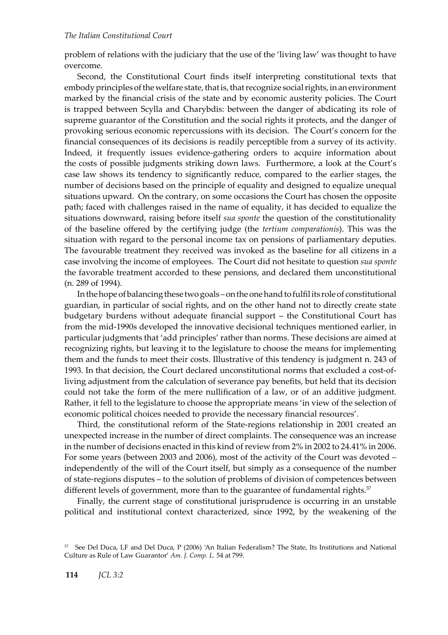problem of relations with the judiciary that the use of the 'living law' was thought to have overcome.

Second, the Constitutional Court finds itself interpreting constitutional texts that embody principles of the welfare state, that is, that recognize social rights, in an environment marked by the financial crisis of the state and by economic austerity policies. The Court is trapped between Scylla and Charybdis: between the danger of abdicating its role of supreme guarantor of the Constitution and the social rights it protects, and the danger of provoking serious economic repercussions with its decision. The Court's concern for the financial consequences of its decisions is readily perceptible from a survey of its activity. Indeed, it frequently issues evidence-gathering orders to acquire information about the costs of possible judgments striking down laws. Furthermore, a look at the Court's case law shows its tendency to significantly reduce, compared to the earlier stages, the number of decisions based on the principle of equality and designed to equalize unequal situations upward. On the contrary, on some occasions the Court has chosen the opposite path; faced with challenges raised in the name of equality, it has decided to equalize the situations downward, raising before itself *sua sponte* the question of the constitutionality of the baseline offered by the certifying judge (the *tertium comparationis*). This was the situation with regard to the personal income tax on pensions of parliamentary deputies. The favourable treatment they received was invoked as the baseline for all citizens in a case involving the income of employees. The Court did not hesitate to question *sua sponte* the favorable treatment accorded to these pensions, and declared them unconstitutional (n. 289 of 1994).

In the hope of balancing these two goals – on the one hand to fulfil its role of constitutional guardian, in particular of social rights, and on the other hand not to directly create state budgetary burdens without adequate financial support – the Constitutional Court has from the mid-1990s developed the innovative decisional techniques mentioned earlier, in particular judgments that 'add principles' rather than norms. These decisions are aimed at recognizing rights, but leaving it to the legislature to choose the means for implementing them and the funds to meet their costs. Illustrative of this tendency is judgment n. 243 of 1993. In that decision, the Court declared unconstitutional norms that excluded a cost-ofliving adjustment from the calculation of severance pay benefits, but held that its decision could not take the form of the mere nullification of a law, or of an additive judgment. Rather, it fell to the legislature to choose the appropriate means 'in view of the selection of economic political choices needed to provide the necessary financial resources'.

Third, the constitutional reform of the State-regions relationship in 2001 created an unexpected increase in the number of direct complaints. The consequence was an increase in the number of decisions enacted in this kind of review from 2% in 2002 to 24.41% in 2006. For some years (between 2003 and 2006), most of the activity of the Court was devoted – independently of the will of the Court itself, but simply as a consequence of the number of state-regions disputes – to the solution of problems of division of competences between different levels of government, more than to the guarantee of fundamental rights.<sup>37</sup>

Finally, the current stage of constitutional jurisprudence is occurring in an unstable political and institutional context characterized, since 1992, by the weakening of the

<sup>37</sup> See Del Duca, LF and Del Duca, P (2006) 'An Italian Federalism? The State, Its Institutions and National Culture as Rule of Law Guarantor' *Am. J. Comp. L.* 54 at 799.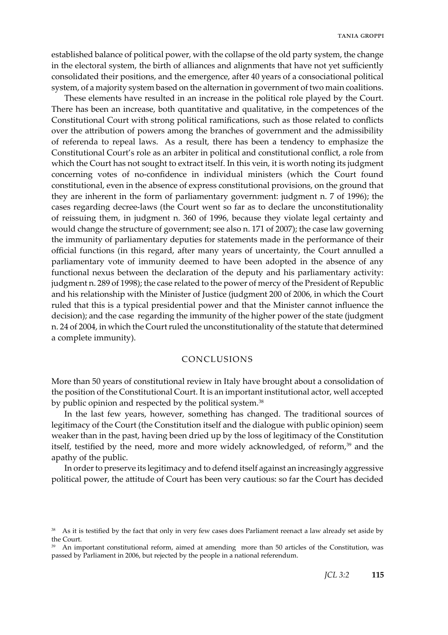established balance of political power, with the collapse of the old party system, the change in the electoral system, the birth of alliances and alignments that have not yet sufficiently consolidated their positions, and the emergence, after 40 years of a consociational political system, of a majority system based on the alternation in government of two main coalitions.

These elements have resulted in an increase in the political role played by the Court. There has been an increase, both quantitative and qualitative, in the competences of the Constitutional Court with strong political ramifications, such as those related to conflicts over the attribution of powers among the branches of government and the admissibility of referenda to repeal laws. As a result, there has been a tendency to emphasize the Constitutional Court's role as an arbiter in political and constitutional conflict, a role from which the Court has not sought to extract itself. In this vein, it is worth noting its judgment concerning votes of no-confidence in individual ministers (which the Court found constitutional, even in the absence of express constitutional provisions, on the ground that they are inherent in the form of parliamentary government: judgment n. 7 of 1996); the cases regarding decree-laws (the Court went so far as to declare the unconstitutionality of reissuing them, in judgment n. 360 of 1996, because they violate legal certainty and would change the structure of government; see also n. 171 of 2007); the case law governing the immunity of parliamentary deputies for statements made in the performance of their official functions (in this regard, after many years of uncertainty, the Court annulled a parliamentary vote of immunity deemed to have been adopted in the absence of any functional nexus between the declaration of the deputy and his parliamentary activity: judgment n. 289 of 1998); the case related to the power of mercy of the President of Republic and his relationship with the Minister of Justice (judgment 200 of 2006, in which the Court ruled that this is a typical presidential power and that the Minister cannot influence the decision); and the case regarding the immunity of the higher power of the state (judgment n. 24 of 2004, in which the Court ruled the unconstitutionality of the statute that determined a complete immunity).

# Conclusions

More than 50 years of constitutional review in Italy have brought about a consolidation of the position of the Constitutional Court. It is an important institutional actor, well accepted by public opinion and respected by the political system.<sup>38</sup>

In the last few years, however, something has changed. The traditional sources of legitimacy of the Court (the Constitution itself and the dialogue with public opinion) seem weaker than in the past, having been dried up by the loss of legitimacy of the Constitution itself, testified by the need, more and more widely acknowledged, of reform,<sup>39</sup> and the apathy of the public.

In order to preserve its legitimacy and to defend itself against an increasingly aggressive political power, the attitude of Court has been very cautious: so far the Court has decided

As it is testified by the fact that only in very few cases does Parliament reenact a law already set aside by the Court.

<sup>&</sup>lt;sup>39</sup> An important constitutional reform, aimed at amending more than 50 articles of the Constitution, was passed by Parliament in 2006, but rejected by the people in a national referendum.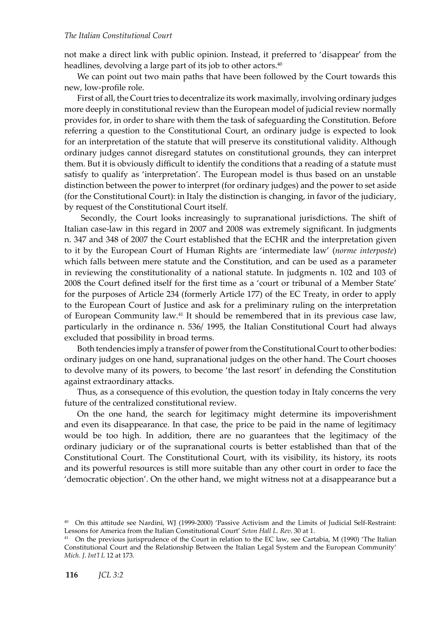not make a direct link with public opinion. Instead, it preferred to 'disappear' from the headlines, devolving a large part of its job to other actors.<sup>40</sup>

We can point out two main paths that have been followed by the Court towards this new, low-profile role.

First of all, the Court tries to decentralize its work maximally, involving ordinary judges more deeply in constitutional review than the European model of judicial review normally provides for, in order to share with them the task of safeguarding the Constitution. Before referring a question to the Constitutional Court, an ordinary judge is expected to look for an interpretation of the statute that will preserve its constitutional validity. Although ordinary judges cannot disregard statutes on constitutional grounds, they can interpret them. But it is obviously difficult to identify the conditions that a reading of a statute must satisfy to qualify as 'interpretation'. The European model is thus based on an unstable distinction between the power to interpret (for ordinary judges) and the power to set aside (for the Constitutional Court): in Italy the distinction is changing, in favor of the judiciary, by request of the Constitutional Court itself.

 Secondly, the Court looks increasingly to supranational jurisdictions. The shift of Italian case-law in this regard in 2007 and 2008 was extremely significant. In judgments n. 347 and 348 of 2007 the Court established that the ECHR and the interpretation given to it by the European Court of Human Rights are 'intermediate law' (*norme interposte*) which falls between mere statute and the Constitution, and can be used as a parameter in reviewing the constitutionality of a national statute. In judgments n. 102 and 103 of 2008 the Court defined itself for the first time as a 'court or tribunal of a Member State' for the purposes of Article 234 (formerly Article 177) of the EC Treaty, in order to apply to the European Court of Justice and ask for a preliminary ruling on the interpretation of European Community law.41 It should be remembered that in its previous case law, particularly in the ordinance n. 536/ 1995, the Italian Constitutional Court had always excluded that possibility in broad terms.

Both tendencies imply a transfer of power from the Constitutional Court to other bodies: ordinary judges on one hand, supranational judges on the other hand. The Court chooses to devolve many of its powers, to become 'the last resort' in defending the Constitution against extraordinary attacks.

Thus, as a consequence of this evolution, the question today in Italy concerns the very future of the centralized constitutional review.

On the one hand, the search for legitimacy might determine its impoverishment and even its disappearance. In that case, the price to be paid in the name of legitimacy would be too high. In addition, there are no guarantees that the legitimacy of the ordinary judiciary or of the supranational courts is better established than that of the Constitutional Court. The Constitutional Court, with its visibility, its history, its roots and its powerful resources is still more suitable than any other court in order to face the 'democratic objection'. On the other hand, we might witness not at a disappearance but a

<sup>40</sup> On this attitude see Nardini, WJ (1999-2000) 'Passive Activism and the Limits of Judicial Self-Restraint: Lessons for America from the Italian Constitutional Court' *Seton Hall L. Rev*. 30 at 1.

<sup>&</sup>lt;sup>41</sup> On the previous jurisprudence of the Court in relation to the EC law, see Cartabia, M (1990) 'The Italian Constitutional Court and the Relationship Between the Italian Legal System and the European Community' *Mich. J*. *Int'l L* 12 at 173*.*